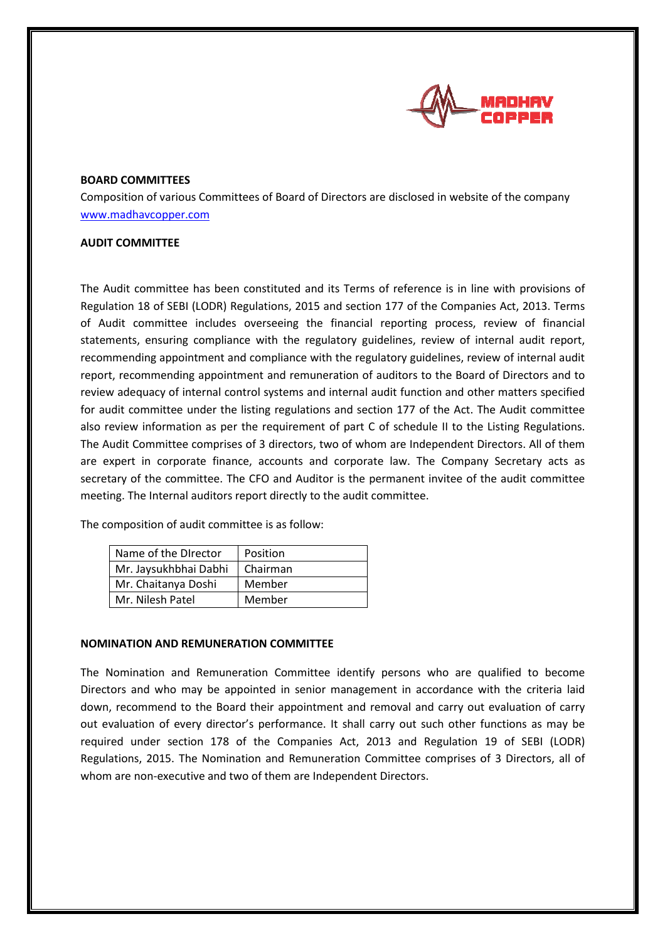

## **BOARD COMMITTEES**

Composition of various Committees of Board of Directors are disclosed in website of the company www.madhavcopper.com

## **AUDIT COMMITTEE**

The Audit committee has been constituted and its Terms of reference is in line with provisions of Regulation 18 of SEBI (LODR) Regulations, 2015 and section 177 of the Companies Act, 2013. Terms of Audit committee includes overseeing the financial reporting process, review of financial statements, ensuring compliance with the regulatory guidelines, review of internal audit report, recommending appointment and comp statements, ensuring compliance with the regulatory guidelines, review of internal audit report, recommending appointment and compliance with the regulatory guidelines, review of internal audit report, recommending appointment and remuneration of auditors to the Board of Directors and to review adequacy of internal control systems and internal audit function and other matters specified for audit committee under the listing regulations and section 177 of the Act. The Audit comm also review information as per the requirement of part C of schedule II to the Listing Regulations. The Audit Committee comprises of 3 directors, two of whom are Independent Directors. All of them are expert in corporate finance, accounts and corporate law. The Company Secretary acts as are expert in corporate finance, accounts and corporate law. The Company Secretary acts as<br>secretary of the committee. The CFO and Auditor is the permanent invitee of the audit committee meeting. The Internal auditors report directly to the audit committee.

The composition of audit committee is as follow:

| Name of the Director  | Position |
|-----------------------|----------|
| Mr. Jaysukhbhai Dabhi | Chairman |
| Mr. Chaitanya Doshi   | Member   |
| Mr. Nilesh Patel      | Member   |
|                       |          |

## **NOMINATION AND REMUNERATION COMMITTEE**

The Nomination and Remuneration Committee identify persons who are qualified to become Directors and who may be appointed in senior management in accordance with the criteria laid down, recommend to the Board their appointment and removal and carry out evaluation of carry out evaluation of every director's performance. It shall carry out such other functions as may be required under section 178 of the Companies Act, 2013 and Regulation 19 of SEBI (LODR) Regulations, 2015. The Nomination and Remuneration Committee comprises of 3 Directors, all of whom are non-executive and two of them are Independent Directors.